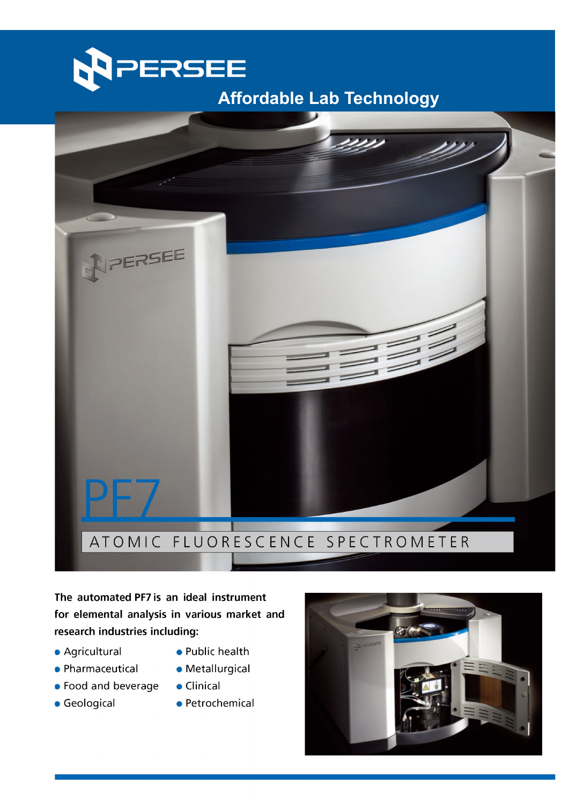

### ATOMIC FLUORESCENCE SPECTROMETER

The automated PF7 is an ideal instrument for elemental analysis in various market and research industries including:

- · Agricultural
- Pharmaceutical
- Food and beverage
- **Geological**
- Public health
- · Metallurgical
- Clinical
- · Petrochemical

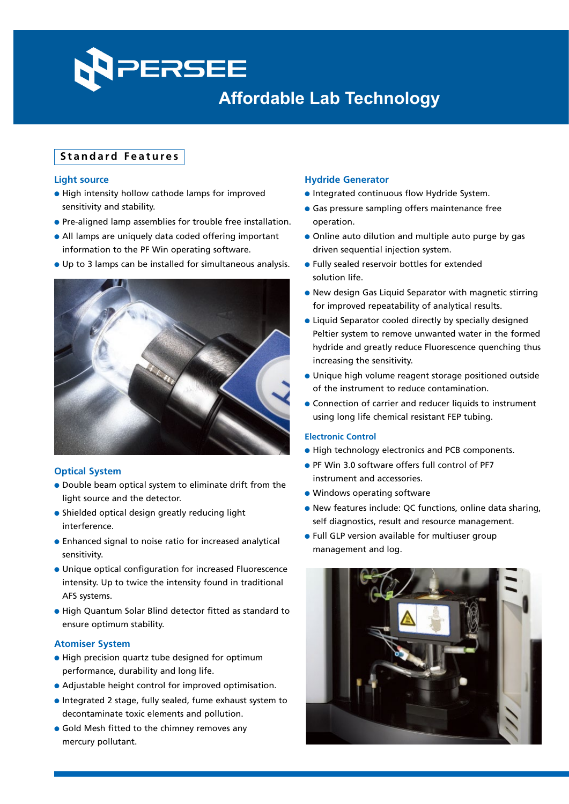## PERSEE **Affordable Lab Technology Affordable Lab Technology**

#### **Standard Features**

#### **Light source**

- **.** High intensity hollow cathode lamps for improved sensitivity and stability.
- **•** Pre-aligned lamp assemblies for trouble free installation.
- All lamps are uniquely data coded offering important information to the PF Win operating software.
- l Up to 3 lamps can be installed for simultaneous analysis.



#### **Optical System**

- Double beam optical system to eliminate drift from the light source and the detector.
- $\bullet$  Shielded optical design greatly reducing light interference.
- **•** Enhanced signal to noise ratio for increased analytical sensitivity.
- l Unique optical configuration for increased Fluorescence intensity. Up to twice the intensity found in traditional AFS systems.
- l High Quantum Solar Blind detector fitted as standard to ensure optimum stability.

#### **Atomiser System**

- $\bullet$  High precision quartz tube designed for optimum performance, durability and long life.
- Adjustable height control for improved optimisation.
- l Integrated 2 stage, fully sealed, fume exhaust system to decontaminate toxic elements and pollution.
- **.** Gold Mesh fitted to the chimney removes any mercury pollutant.

#### **Hydride Generator**

- **.** Integrated continuous flow Hydride System.
- **Gas pressure sampling offers maintenance free** operation.
- Online auto dilution and multiple auto purge by gas driven sequential injection system.
- **.** Fully sealed reservoir bottles for extended solution life.
- **.** New design Gas Liquid Separator with magnetic stirring for improved repeatability of analytical results.
- Liquid Separator cooled directly by specially designed Peltier system to remove unwanted water in the formed hydride and greatly reduce Fluorescence quenching thus increasing the sensitivity.
- **.** Unique high volume reagent storage positioned outside of the instrument to reduce contamination.
- **Connection of carrier and reducer liquids to instrument** using long life chemical resistant FEP tubing.

#### **Electronic Control**

- **.** High technology electronics and PCB components.
- PF Win 3.0 software offers full control of PF7 instrument and accessories.
- $\bullet$  Windows operating software
- **.** New features include: QC functions, online data sharing, self diagnostics, result and resource management.
- **.** Full GLP version available for multiuser group management and log.

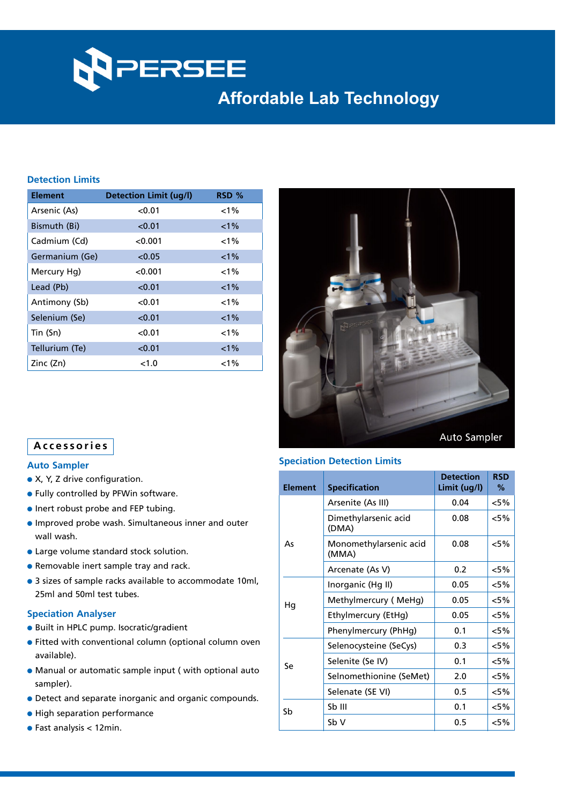

#### **Detection Limits**

| <b>Element</b> | <b>Detection Limit (ug/l)</b> | RSD %   |  |
|----------------|-------------------------------|---------|--|
| Arsenic (As)   | < 0.01                        | $< 1\%$ |  |
| Bismuth (Bi)   | < 0.01                        | $1\%$   |  |
| Cadmium (Cd)   | < 0.001                       | $1\%$   |  |
| Germanium (Ge) | < 0.05                        | $1\%$   |  |
| Mercury Hg)    | < 0.001                       | $1\%$   |  |
| Lead (Pb)      | < 0.01                        | $< 1\%$ |  |
| Antimony (Sb)  | < 0.01                        | $1\%$   |  |
| Selenium (Se)  | < 0.01                        | $1\%$   |  |
| Tin (Sn)       | < 0.01                        | $1\%$   |  |
| Tellurium (Te) | < 0.01                        | $< 1\%$ |  |
| Zinc (Zn)      | < 1.0                         | $1\%$   |  |



#### **Accessories**

#### **Auto Sampler**

- $\bullet$  X, Y, Z drive configuration.
- **.** Fully controlled by PFWin software.
- $\bullet$  Inert robust probe and FEP tubing.
- **.** Improved probe wash. Simultaneous inner and outer wall wash.
- **Large volume standard stock solution.**
- **Removable inert sample tray and rack.**
- 3 sizes of sample racks available to accommodate 10ml, 25ml and 50ml test tubes.

#### **Speciation Analyser**

- **Built in HPLC pump. Isocratic/gradient**
- **•** Fitted with conventional column (optional column oven available).
- $\bullet$  Manual or automatic sample input ( with optional auto sampler).
- **•** Detect and separate inorganic and organic compounds.
- **.** High separation performance
- $\bullet$  Fast analysis < 12min.

#### **Speciation Detection Limits**

| <b>Element</b> | <b>Specification</b>            | <b>Detection</b><br>Limit (ug/l) | <b>RSD</b><br>% |
|----------------|---------------------------------|----------------------------------|-----------------|
| As             | Arsenite (As III)               | 0.04                             | $< 5\%$         |
|                | Dimethylarsenic acid<br>(DMA)   | 0.08                             | <5%             |
|                | Monomethylarsenic acid<br>(MMA) | 0.08                             | $< 5\%$         |
|                | Arcenate (As V)                 | 0.2                              | $< 5\%$         |
| Hg             | Inorganic (Hg II)               | 0.05                             | $< 5\%$         |
|                | Methylmercury (MeHg)            | 0.05                             | <5%             |
|                | Ethylmercury (EtHg)             | 0.05                             | <5%             |
|                | Phenylmercury (PhHq)            | 0.1                              | <5%             |
| Se             | Selenocysteine (SeCys)          | 0.3                              | $< 5\%$         |
|                | Selenite (Se IV)                | 0.1                              | $< 5\%$         |
|                | Selnomethionine (SeMet)         | 2.0                              | $< 5\%$         |
|                | Selenate (SE VI)                | 0.5                              | <5%             |
| Sb             | Sb III                          | 0.1                              | $< 5\%$         |
|                | Sb V                            | 0.5                              | <5%             |